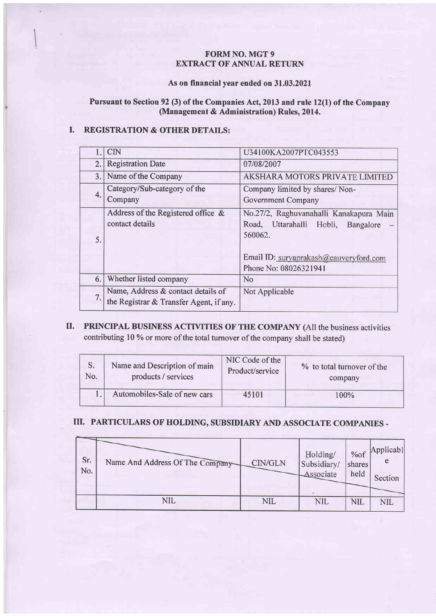#### FORM NO. MGT 9 **EXTRACT OF ANNUAL RETURN**

#### As on financial year ended on 31.03.2021

#### Pursuant to Section 92 (3) of the Companies Act, 2013 and rule 12(1) of the Company (Management & Administration) Rules, 2014.

#### I. REGISTRATION & OTHER DETAILS:

|     | CIN                                                                           | U34100KA2007PTC043553                                                                                                                                             |
|-----|-------------------------------------------------------------------------------|-------------------------------------------------------------------------------------------------------------------------------------------------------------------|
| 2.  | <b>Registration Date</b>                                                      | 07/08/2007                                                                                                                                                        |
| 3.1 | Name of the Company                                                           | <b>AKSHARA MOTORS PRIVATE LIMITED</b>                                                                                                                             |
| 4.  | Category/Sub-category of the<br>Company                                       | Company limited by shares/Non-<br>Government Company                                                                                                              |
| 5.  | Address of the Registered office &<br>contact details                         | No.27/2, Raghuvanahalli Kanakapura Main<br>Uttarahalli Hobli,<br>Road,<br>Bangalore<br>560062.<br>Email ID: suryaprakash@cauveryford.com<br>Phone No: 08026321941 |
| 6.  | Whether listed company                                                        | <b>No</b>                                                                                                                                                         |
| 7.  | Name, Address & contact details of<br>the Registrar & Transfer Agent, if any. | Not Applicable                                                                                                                                                    |

## II. PRINCIPAL BUSINESS ACTIVITIES OF THE COMPANY (All the business activities contributing l0 %o or more of the total turnover of the company shall be stated)

| S.  | Name and Description of main | NIC Code of the | % to total turnover of the |
|-----|------------------------------|-----------------|----------------------------|
| No. | products / services          | Product/service | company                    |
|     | Automobiles-Sale of new cars | 45101           | 100%                       |

## III. PARTICULARS OF HOLDING, SUBSIDIARY AND ASSOCIATE COMPANIES -

| Sr.<br>No. | Name And Address Of The Company | CIN/GLN    | Holding/<br>Subsidiary/<br>Associate | %of<br>shares<br>held | Applicabl<br>Section |
|------------|---------------------------------|------------|--------------------------------------|-----------------------|----------------------|
|            | NIL                             | <b>NIL</b> | NIL                                  | NII                   | <b>NIL</b>           |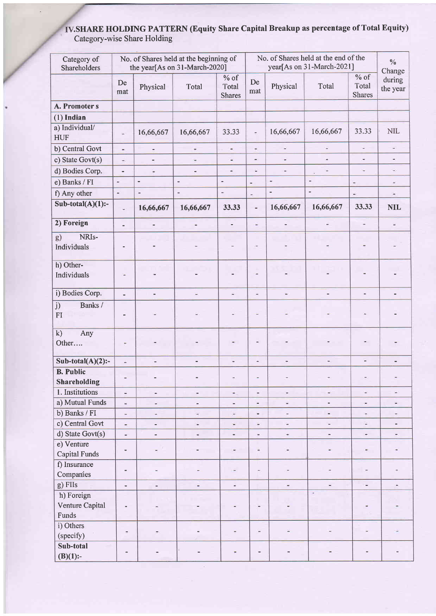#### .SHARE HOLDING PATTERN (Equity Share Capital Breakup as percentage of Total Equity) Category-wise Share Holding

 $\overline{a}$ 

| Category of<br>Shareholders            |                              |                              | No. of Shares held at the beginning of<br>the year[As on 31-March-2020] |                                  | No. of Shares held at the end of the<br>year[As on 31-March-2021] |                              |                          |                                  | $\frac{0}{0}$<br>Change      |
|----------------------------------------|------------------------------|------------------------------|-------------------------------------------------------------------------|----------------------------------|-------------------------------------------------------------------|------------------------------|--------------------------|----------------------------------|------------------------------|
|                                        | De<br>mat                    | Physical                     | Total                                                                   | $%$ of<br>Total<br><b>Shares</b> | De<br>mat                                                         | Physical                     | Total                    | $%$ of<br>Total<br><b>Shares</b> | during<br>the year           |
| A. Promoter s                          |                              |                              |                                                                         |                                  |                                                                   |                              |                          |                                  |                              |
| $(1)$ Indian                           |                              |                              |                                                                         |                                  |                                                                   |                              |                          |                                  |                              |
| a) Individual/<br><b>HUF</b>           | w,                           | 16,66,667                    | 16,66,667                                                               | 33.33                            | $\overline{\phantom{a}}$                                          | 16,66,667                    | 16,66,667                | 33.33                            | <b>NIL</b>                   |
| b) Central Govt                        | $\sim$                       | $\qquad \qquad \blacksquare$ | $\overline{a}$                                                          | $\blacksquare$                   | $\frac{1}{2}$                                                     | $\overline{\phantom{a}}$     | $\frac{1}{2}$            | ÷,                               | ÷                            |
| c) State Govt(s)                       | $\frac{1}{2}$                | $\overline{\phantom{0}}$     |                                                                         | ä,                               | $\overline{\phantom{a}}$                                          | ÷                            | a.                       | $\ddot{}$                        | ۰                            |
| d) Bodies Corp.                        | $\overline{\phantom{0}}$     | $\overline{ }$               | Ξ                                                                       | $\overline{\phantom{m}}$         | ù,                                                                | $\frac{1}{2}$                |                          | ÷                                | $\overline{\phantom{a}}$     |
| e) Banks / FI                          | ×,                           | $\overline{\phantom{a}}$     | $\blacksquare$                                                          |                                  | ÷                                                                 | ×,                           | ×,                       | $\overline{a}$                   | $\overline{\phantom{m}}$     |
| f) Any other                           | $\tilde{\phantom{a}}$        | $\frac{1}{2}$                | ۰                                                                       | $\ddot{}$                        | -                                                                 | $\qquad \qquad \blacksquare$ | $\overline{\phantom{a}}$ | $\overline{\phantom{a}}$         | $\overline{a}$               |
| Sub-total(A)(1):-                      | ٠                            | 16,66,667                    | 16,66,667                                                               | 33.33                            | ÷,                                                                | 16,66,667                    | 16,66,667                | 33.33                            | <b>NIL</b>                   |
| 2) Foreign                             | ÷,                           |                              |                                                                         | $\overline{\phantom{0}}$         | ٠                                                                 | ÷                            |                          |                                  | $\overline{\phantom{a}}$     |
| NRI <sub>s-</sub><br>g)<br>Individuals |                              |                              |                                                                         | Ξ                                | ۳                                                                 |                              |                          |                                  |                              |
| h) Other-<br>Individuals               | ٠                            |                              |                                                                         |                                  | ë                                                                 |                              |                          |                                  |                              |
| i) Bodies Corp.                        | $\overline{a}$               | ÷,                           | ÷.                                                                      | ×                                | ×,                                                                | $\overline{\phantom{a}}$     | -                        | $\blacksquare$                   |                              |
| Banks /<br>j)<br>FI                    |                              |                              |                                                                         |                                  |                                                                   |                              |                          |                                  |                              |
| k)<br>Any<br>Other                     | Ξ                            |                              |                                                                         |                                  | ٠                                                                 |                              |                          |                                  |                              |
| Sub-total(A)(2):-                      | $\omega$                     | ٠                            | $\qquad \qquad \blacksquare$                                            | u,                               | ÷.                                                                | ۰                            | $\overline{\phantom{0}}$ | ÷,                               |                              |
| <b>B.</b> Public<br>Shareholding       | $\blacksquare$               |                              |                                                                         |                                  |                                                                   |                              |                          |                                  |                              |
| 1. Institutions                        | Ξ                            | u,                           | $\frac{1}{2}$                                                           | ۰.                               | $\overline{\phantom{a}}$                                          | $\frac{1}{2}$                | ٠                        | $\frac{1}{2}$                    | w.                           |
| a) Mutual Funds                        | $\ddot{\bullet}$             | $\frac{1}{2}$                | $\blacksquare$                                                          | $\ddot{}$                        | $\qquad \qquad \blacksquare$                                      | $\overline{\phantom{a}}$     |                          | ÷,                               | ۰                            |
| b) Banks / FI                          | $\overline{a}$               | ٠                            | ۰                                                                       | ۰.                               | $\qquad \qquad \blacksquare$                                      | $\frac{1}{2}$                | ٠                        | $\overline{\phantom{a}}$         |                              |
| c) Central Govt                        | ٠                            | $\qquad \qquad \blacksquare$ | $\overline{a}$                                                          | ۷                                | $\blacksquare$                                                    | Ξ                            | $\overline{\phantom{a}}$ | u,                               | $\qquad \qquad \blacksquare$ |
| d) State Govt(s)                       | $\blacksquare$               | $\frac{1}{2}$                | $\blacksquare$                                                          | $\blacksquare$                   | $\blacksquare$                                                    | $\omega$                     | $\overline{\phantom{a}}$ | $\frac{1}{2}$                    | $\blacksquare$               |
| e) Venture<br>Capital Funds            | $\overline{\phantom{0}}$     | $\overline{\phantom{m}}$     | $\blacksquare$                                                          | $\equiv$                         | $\frac{1}{2}$                                                     | $\qquad \qquad \blacksquare$ | $\frac{1}{2}$            | ٠                                |                              |
| f) Insurance<br>Companies              | $\qquad \qquad \blacksquare$ |                              |                                                                         |                                  | $\blacksquare$                                                    | $\overline{\phantom{a}}$     | ۰                        | $\overline{a}$                   |                              |
| g) FIIs                                | $\overline{\phantom{a}}$     | $\frac{1}{2}$                | ă.                                                                      | ä,                               |                                                                   | ٠                            | u.                       | ä,                               | $\equiv$                     |
| h) Foreign<br>Venture Capital<br>Funds | ÷,                           |                              |                                                                         |                                  | $\overline{ }$                                                    |                              | $\mathcal{A}$ :          | i.                               |                              |
| i) Others<br>(specify)                 | -                            |                              |                                                                         |                                  | $\overline{\phantom{a}}$                                          | ٠                            |                          |                                  |                              |
| Sub-total<br>$(B)(1)$ :-               |                              |                              |                                                                         |                                  |                                                                   |                              |                          |                                  |                              |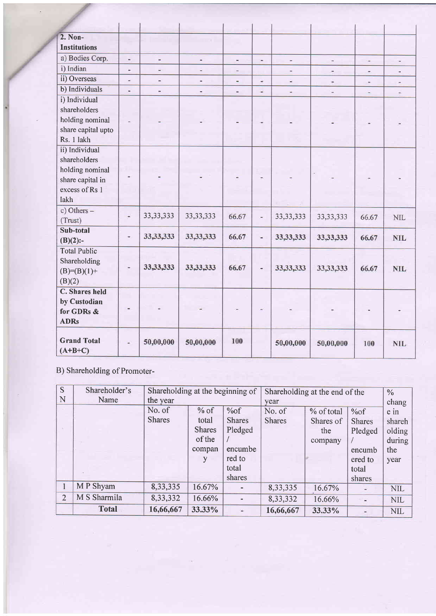| $2.$ Non-              |                |                          |             |                |                          |                          |                |                |                          |
|------------------------|----------------|--------------------------|-------------|----------------|--------------------------|--------------------------|----------------|----------------|--------------------------|
| <b>Institutions</b>    |                |                          |             |                |                          |                          |                |                |                          |
| a) Bodies Corp.        | $\overline{a}$ | $\overline{\phantom{a}}$ | ÷           | ×.             | $\sim$                   | $\overline{\phantom{a}}$ | ۰              | ٠              | ÷                        |
| i) Indian              | $\frac{1}{2}$  | u,                       |             | $\overline{a}$ |                          | $\overline{a}$           | ٠              | $\frac{1}{2}$  | ÷                        |
| ii) Overseas           |                | $\overline{\phantom{a}}$ | ÷.          | Ξ              | $\overline{\phantom{a}}$ | ÷                        | $\overline{a}$ | $\overline{a}$ | $\overline{\phantom{a}}$ |
| b) Individuals         | $\overline{a}$ | $\blacksquare$           | ٠           | $\equiv$       | $\blacksquare$           | н                        | $\frac{1}{2}$  | ш              | £,                       |
| i) Individual          |                |                          |             |                |                          |                          |                |                |                          |
| shareholders           |                |                          |             |                |                          |                          |                |                |                          |
| holding nominal        | $\overline{a}$ |                          |             |                |                          |                          |                |                |                          |
| share capital upto     |                |                          |             |                |                          |                          |                |                |                          |
| Rs. 1 lakh             |                |                          |             |                |                          |                          |                |                |                          |
| ii) Individual         |                |                          |             |                |                          |                          |                |                |                          |
| shareholders           |                |                          |             |                |                          |                          |                |                |                          |
| holding nominal        |                |                          |             | ٠              | ۰                        |                          |                |                |                          |
| share capital in       |                |                          |             |                |                          |                          |                |                |                          |
| excess of Rs 1<br>lakh |                |                          |             |                |                          |                          |                |                |                          |
|                        |                |                          |             |                |                          |                          |                |                |                          |
| c) Others -<br>(Trust) | $\frac{1}{2}$  | 33, 33, 333              | 33, 33, 333 | 66.67          | $\overline{a}$           | 33, 33, 333              | 33, 33, 333    | 66.67          | <b>NIL</b>               |
| Sub-total              |                |                          |             |                |                          |                          |                |                |                          |
| $(B)(2)$ :-            | $\blacksquare$ | 33, 33, 333              | 33, 33, 333 | 66.67          | $\frac{1}{2}$            | 33, 33, 333              | 33, 33, 333    | 66.67          | <b>NIL</b>               |
| <b>Total Public</b>    |                |                          |             |                |                          |                          |                |                |                          |
| Shareholding           |                | 33, 33, 333              |             |                |                          |                          |                |                |                          |
| $(B)=(B)(1)+$          |                |                          | 33, 33, 333 | 66.67          | ä,                       | 33,33,333                | 33, 33, 333    | 66.67          | <b>NIL</b>               |
| (B)(2)                 |                |                          |             |                |                          |                          |                |                |                          |
| <b>C.</b> Shares held  |                |                          |             |                |                          |                          |                |                |                          |
| by Custodian           |                |                          |             |                |                          |                          |                |                |                          |
| for GDRs &             |                |                          |             | $\ddot{}$      |                          |                          |                |                |                          |
| <b>ADRs</b>            |                |                          |             |                |                          |                          |                |                |                          |
| <b>Grand Total</b>     | $\blacksquare$ | 50,00,000                | 50,00,000   | 100            |                          | 50,00,000                | 50,00,000      | 100            | <b>NIL</b>               |
| $(A+B+C)$              |                |                          |             |                |                          |                          |                |                |                          |

B) Shareholding of Promoter-

| S              | Shareholder's | Shareholding at the beginning of |               |               | Shareholding at the end of the |            |                | $\%$       |
|----------------|---------------|----------------------------------|---------------|---------------|--------------------------------|------------|----------------|------------|
| N              | Name          | the year                         |               |               | year                           |            |                | chang      |
|                |               | No. of                           | $%$ of        | %of           | No. of                         | % of total | %of            | e in       |
|                |               | <b>Shares</b>                    | total         | <b>Shares</b> | <b>Shares</b>                  | Shares of  | <b>Shares</b>  | shareh     |
|                |               |                                  | <b>Shares</b> | Pledged       |                                | the        | Pledged        | olding     |
|                |               |                                  | of the        |               |                                | company    |                | during     |
|                |               |                                  | compan        | encumbe       |                                |            | encumb         | the        |
|                |               |                                  |               | red to        |                                |            | ered to        | year       |
|                |               |                                  |               | total         |                                |            | total          |            |
|                |               |                                  |               | shares        |                                |            | shares         |            |
|                | M P Shyam     | 8,33,335                         | 16.67%        |               | 8,33,335                       | 16.67%     |                | <b>NIL</b> |
| $\overline{2}$ | M S Sharmila  | 8,33,332                         | 16.66%        |               | 8,33,332                       | 16.66%     | $\overline{a}$ | <b>NIL</b> |
|                | <b>Total</b>  | 16,66,667                        | 33.33%        |               | 16,66,667                      | 33.33%     |                | <b>NIL</b> |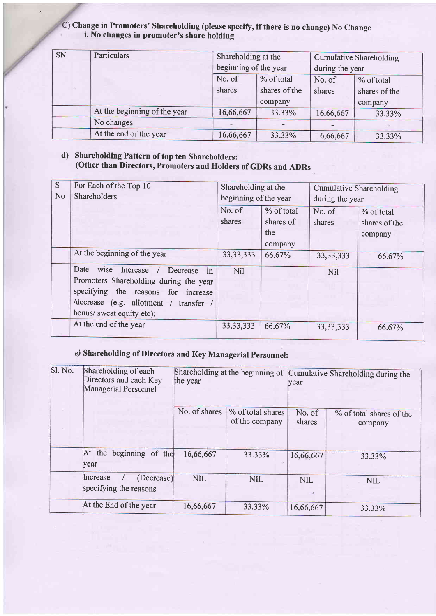C) Change in Promoters' Shareholding (please specify, if there is no change) No Change i. No changes in promoter's share holding

| <b>SN</b> | Particulars                  | Shareholding at the     |         | Cumulative Shareholding  |               |  |
|-----------|------------------------------|-------------------------|---------|--------------------------|---------------|--|
|           |                              | beginning of the year   |         | during the year          |               |  |
|           |                              | % of total<br>No. of    |         | No. of                   | % of total    |  |
|           |                              | shares<br>shares of the |         | shares                   | shares of the |  |
|           |                              |                         | company |                          | company       |  |
|           | At the beginning of the year | 16,66,667               | 33.33%  | 16,66,667                | 33.33%        |  |
|           | No changes                   |                         | ٠       | $\overline{\phantom{a}}$ |               |  |
|           | At the end of the year       | 16,66,667               | 33.33%  | 16,66,667                | 33.33%        |  |

## d) Shareholding Pattern of top ten Shareholders: (other than Directors, Promoters and Holders of GDRs and ADRs

| S<br>N <sub>o</sub> | For Each of the Top 10<br><b>Shareholders</b>                                                                                                                                                   | Shareholding at the<br>beginning of the year |                         | <b>Cumulative Shareholding</b><br>during the year |                             |
|---------------------|-------------------------------------------------------------------------------------------------------------------------------------------------------------------------------------------------|----------------------------------------------|-------------------------|---------------------------------------------------|-----------------------------|
|                     |                                                                                                                                                                                                 | No. of<br>shares                             | % of total<br>shares of | No. of<br>shares                                  | % of total<br>shares of the |
|                     |                                                                                                                                                                                                 |                                              | the<br>company          |                                                   | company                     |
|                     | At the beginning of the year                                                                                                                                                                    | 33, 33, 333                                  | 66.67%                  | 33, 33, 333                                       | 66.67%                      |
|                     | wise Increase<br>Date<br>in<br>Decrease<br>Promoters Shareholding during the year<br>specifying the reasons for increase<br>/decrease (e.g. allotment / transfer /<br>bonus/ sweat equity etc): | Nil                                          |                         | <b>Nil</b>                                        |                             |
|                     | At the end of the year                                                                                                                                                                          | 33, 33, 333                                  | 66.67%                  | 33, 33, 333                                       | 66.67%                      |

## e) Shareholding of Directors and Key Managerial Personnel:

| Sl. No. | Shareholding of each<br>Directors and each Key<br><b>Managerial Personnel</b> | the year      |                                     | Shareholding at the beginning of Cumulative Shareholding during the<br>vear |                                     |  |
|---------|-------------------------------------------------------------------------------|---------------|-------------------------------------|-----------------------------------------------------------------------------|-------------------------------------|--|
|         |                                                                               | No. of shares | % of total shares<br>of the company | No. of<br>shares                                                            | % of total shares of the<br>company |  |
|         | At the beginning of the<br><b>year</b>                                        | 16,66,667     | 33.33%                              | 16,66,667                                                                   | 33.33%                              |  |
|         | <b>Increase</b><br>(Decrease)<br>specifying the reasons                       | <b>NIL</b>    | <b>NIL</b>                          | <b>NIL</b>                                                                  | <b>NIL</b>                          |  |
|         | At the End of the year                                                        | 16,66,667     | 33.33%                              | 16,66,667                                                                   | 33.33%                              |  |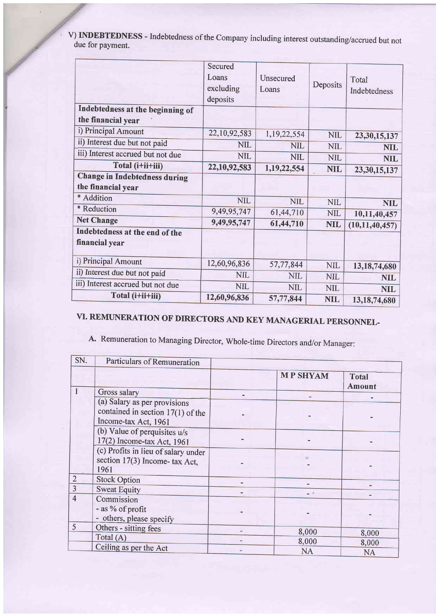| V) INDEBTEDNESS - Indebtedness of the Company including interest outstanding/accrued but not<br>due for payment. |
|------------------------------------------------------------------------------------------------------------------|
|------------------------------------------------------------------------------------------------------------------|

|                                                  | Secured            |                    |            |                       |
|--------------------------------------------------|--------------------|--------------------|------------|-----------------------|
|                                                  | Loans<br>excluding | Unsecured<br>Loans | Deposits   | Total<br>Indebtedness |
|                                                  | deposits           |                    |            |                       |
| Indebtedness at the beginning of                 |                    |                    |            |                       |
| the financial year                               |                    |                    |            |                       |
| i) Principal Amount                              | 22,10,92,583       | 1,19,22,554        | <b>NIL</b> | 23, 30, 15, 137       |
| ii) Interest due but not paid                    | <b>NIL</b>         | <b>NIL</b>         | <b>NIL</b> | <b>NIL</b>            |
| iii) Interest accrued but not due                | <b>NIL</b>         | <b>NIL</b>         | <b>NIL</b> | <b>NIL</b>            |
| Total (i+ii+iii)                                 | 22,10,92,583       | 1,19,22,554        | <b>NIL</b> | 23,30,15,137          |
| <b>Change in Indebtedness during</b>             |                    |                    |            |                       |
| the financial year                               |                    |                    |            |                       |
| * Addition                                       | <b>NIL</b>         | NIL                | <b>NIL</b> | <b>NIL</b>            |
| * Reduction                                      | 9,49,95,747        | 61,44,710          | <b>NIL</b> | 10,11,40,457          |
| <b>Net Change</b>                                | 9,49,95,747        | 61,44,710          | <b>NIL</b> | (10, 11, 40, 457)     |
| Indebtedness at the end of the<br>financial year |                    |                    |            |                       |
| i) Principal Amount                              | 12,60,96,836       | 57,77,844          | <b>NIL</b> | 13, 18, 74, 680       |
| ii) Interest due but not paid                    | <b>NIL</b>         | <b>NIL</b>         | <b>NIL</b> | <b>NIL</b>            |
| iii) Interest accrued but not due                | <b>NIL</b>         | <b>NIL</b>         | <b>NIL</b> | <b>NIL</b>            |
| Total (i+ii+iii)                                 | 12,60,96,836       | 57,77,844          | <b>NIL</b> | 13, 18, 74, 680       |

# VI. REMUNERATION OF DIRECTORS AND KEY MANAGERIAL PERSONNEL-

A. Remuneration to Managing Director, Whole-time Directors and/or Manager:

| SN.            | Particulars of Remuneration                                                                 |                 |                        |
|----------------|---------------------------------------------------------------------------------------------|-----------------|------------------------|
|                |                                                                                             | <b>MP SHYAM</b> | <b>Total</b><br>Amount |
|                | Gross salary                                                                                |                 |                        |
|                | (a) Salary as per provisions<br>contained in section $17(1)$ of the<br>Income-tax Act, 1961 |                 |                        |
|                | (b) Value of perquisites u/s<br>17(2) Income-tax Act, 1961                                  |                 |                        |
|                | (c) Profits in lieu of salary under<br>section 17(3) Income- tax Act,<br>1961               |                 |                        |
| $\overline{2}$ | <b>Stock Option</b>                                                                         |                 |                        |
| 3              | <b>Sweat Equity</b>                                                                         |                 |                        |
| $\overline{4}$ | Commission<br>- as % of profit<br>- others, please specify                                  |                 |                        |
| 5              | Others - sitting fees                                                                       | 8,000           | 8,000                  |
|                | Total $(A)$                                                                                 | 8,000           | 8,000                  |
|                | Ceiling as per the Act                                                                      | <b>NA</b>       | <b>NA</b>              |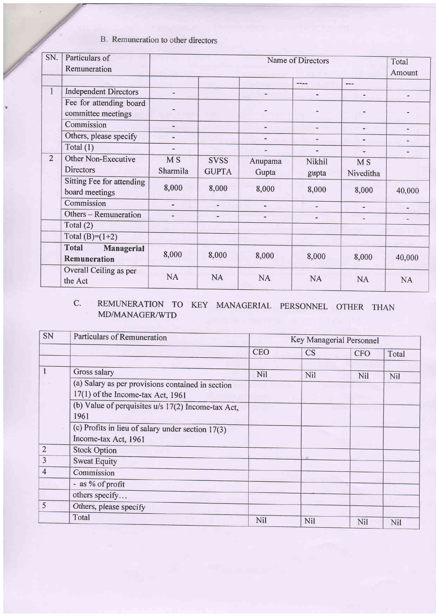## B. Remuneration to other directors

| SN.            | Particulars of                    | Name of Directors |              |                              |                          |                              |               |  |
|----------------|-----------------------------------|-------------------|--------------|------------------------------|--------------------------|------------------------------|---------------|--|
|                | Remuneration                      |                   |              | Total<br>Amount              |                          |                              |               |  |
|                |                                   |                   |              |                              | تناشرت                   | $---$                        |               |  |
| $\mathbf{1}$   | <b>Independent Directors</b>      | $\rightarrow$     |              |                              | $\blacksquare$           | $\blacksquare$               |               |  |
|                | Fee for attending board           |                   |              |                              |                          |                              |               |  |
|                | committee meetings                |                   |              |                              |                          |                              |               |  |
|                | Commission                        |                   |              |                              | ۰.                       | $\qquad \qquad \blacksquare$ | $\sim$        |  |
|                | Others, please specify            |                   |              |                              |                          | -                            |               |  |
|                | Total $(1)$                       | $\blacksquare$    |              | ٠                            |                          | $=$                          |               |  |
| $\overline{2}$ | Other Non-Executive               | <b>MS</b>         | <b>SVSS</b>  | Anupama                      | Nikhil                   | <b>MS</b>                    |               |  |
|                | <b>Directors</b>                  | Sharmila          | <b>GUPTA</b> | Gupta                        | gupta                    | Niveditha                    |               |  |
|                | Sitting Fee for attending         | 8,000             |              |                              |                          |                              |               |  |
|                | board meetings                    |                   | 8,000        | 8,000                        | 8,000                    | 8,000                        | 40,000        |  |
|                | Commission                        |                   | ٠            | $\blacksquare$               | ۰                        |                              | $\frac{1}{2}$ |  |
|                | Others - Remuneration             |                   | ٠            | $\qquad \qquad \blacksquare$ | $\overline{\phantom{0}}$ | $\overline{\phantom{m}}$     | ÷             |  |
|                | Total $(2)$                       |                   |              |                              |                          |                              |               |  |
|                | Total (B)= $(1+2)$                |                   |              |                              |                          |                              |               |  |
|                | <b>Total</b><br><b>Managerial</b> | 8,000             | 8,000        | 8,000                        | 8,000                    | 8,000                        | 40,000        |  |
|                | Remuneration                      |                   |              |                              |                          |                              |               |  |
|                | Overall Ceiling as per            |                   |              |                              |                          |                              |               |  |
|                | the Act                           | <b>NA</b>         | <b>NA</b>    | <b>NA</b>                    | <b>NA</b>                | <b>NA</b>                    | <b>NA</b>     |  |

#### C. REMUNERATION TO KEY MANAGERIAL PERSONNEL OTHER THAN MD/MANAGER/WTD

| SN             | <b>Particulars of Remuneration</b>                  | Key Managerial Personnel |           |            |       |
|----------------|-----------------------------------------------------|--------------------------|-----------|------------|-------|
|                |                                                     | <b>CEO</b>               | <b>CS</b> | <b>CFO</b> | Total |
|                | Gross salary                                        | <b>Nil</b>               | Nil       | <b>Nil</b> | Nil   |
|                | (a) Salary as per provisions contained in section   |                          |           |            |       |
|                | 17(1) of the Income-tax Act, 1961                   |                          |           |            |       |
|                | (b) Value of perquisites u/s 17(2) Income-tax Act,  |                          |           |            |       |
|                | 1961                                                |                          |           |            |       |
|                | (c) Profits in lieu of salary under section $17(3)$ |                          |           |            |       |
|                | Income-tax Act, 1961                                |                          |           |            |       |
| $\overline{2}$ | <b>Stock Option</b>                                 |                          |           |            |       |
| $\overline{3}$ | <b>Sweat Equity</b>                                 |                          |           |            |       |
| $\overline{4}$ | Commission                                          |                          |           |            |       |
|                | - as % of profit                                    |                          |           |            |       |
|                | others specify                                      |                          |           |            |       |
| 5              | Others, please specify                              |                          |           |            |       |
|                | Total                                               | Nil                      | Nil       | Nil        | Nil   |